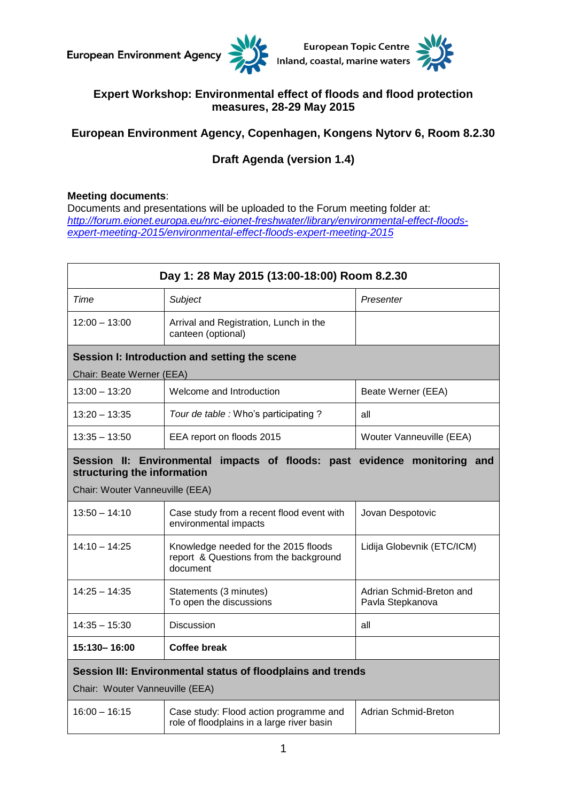



## **Expert Workshop: Environmental effect of floods and flood protection measures, 28-29 May 2015**

## **European Environment Agency, Copenhagen, Kongens Nytorv 6, Room 8.2.30**

# **Draft Agenda (version 1.4)**

### **Meeting documents**:

Documents and presentations will be uploaded to the Forum meeting folder at: *[http://forum.eionet.europa.eu/nrc-eionet-freshwater/library/environmental-effect-floods](http://forum.eionet.europa.eu/nrc-eionet-freshwater/library/environmental-effect-floods-expert-meeting-2015/environmental-effect-floods-expert-meeting-2015)[expert-meeting-2015/environmental-effect-floods-expert-meeting-2015](http://forum.eionet.europa.eu/nrc-eionet-freshwater/library/environmental-effect-floods-expert-meeting-2015/environmental-effect-floods-expert-meeting-2015)*

| Day 1: 28 May 2015 (13:00-18:00) Room 8.2.30                                                                                                   |                                                                                            |                                              |  |  |
|------------------------------------------------------------------------------------------------------------------------------------------------|--------------------------------------------------------------------------------------------|----------------------------------------------|--|--|
| Time                                                                                                                                           | Subject                                                                                    | Presenter                                    |  |  |
| $12:00 - 13:00$                                                                                                                                | Arrival and Registration, Lunch in the<br>canteen (optional)                               |                                              |  |  |
| Session I: Introduction and setting the scene                                                                                                  |                                                                                            |                                              |  |  |
| Chair: Beate Werner (EEA)                                                                                                                      |                                                                                            |                                              |  |  |
| $13:00 - 13:20$                                                                                                                                | Welcome and Introduction                                                                   | Beate Werner (EEA)                           |  |  |
| $13:20 - 13:35$                                                                                                                                | Tour de table : Who's participating ?                                                      | all                                          |  |  |
| $13:35 - 13:50$                                                                                                                                | EEA report on floods 2015                                                                  | Wouter Vanneuville (EEA)                     |  |  |
| impacts of floods: past evidence monitoring and<br>Session II: Environmental<br>structuring the information<br>Chair: Wouter Vanneuville (EEA) |                                                                                            |                                              |  |  |
| $13:50 - 14:10$                                                                                                                                | Case study from a recent flood event with<br>environmental impacts                         | Jovan Despotovic                             |  |  |
| $14:10 - 14:25$                                                                                                                                | Knowledge needed for the 2015 floods<br>report & Questions from the background<br>document | Lidija Globevnik (ETC/ICM)                   |  |  |
| $14:25 - 14:35$                                                                                                                                | Statements (3 minutes)<br>To open the discussions                                          | Adrian Schmid-Breton and<br>Pavla Stepkanova |  |  |
| $14:35 - 15:30$                                                                                                                                | <b>Discussion</b>                                                                          | all                                          |  |  |
| 15:130-16:00                                                                                                                                   | Coffee break                                                                               |                                              |  |  |
| Session III: Environmental status of floodplains and trends<br>Chair: Wouter Vanneuville (EEA)                                                 |                                                                                            |                                              |  |  |
| $16:00 - 16:15$                                                                                                                                | Case study: Flood action programme and<br>role of floodplains in a large river basin       | <b>Adrian Schmid-Breton</b>                  |  |  |